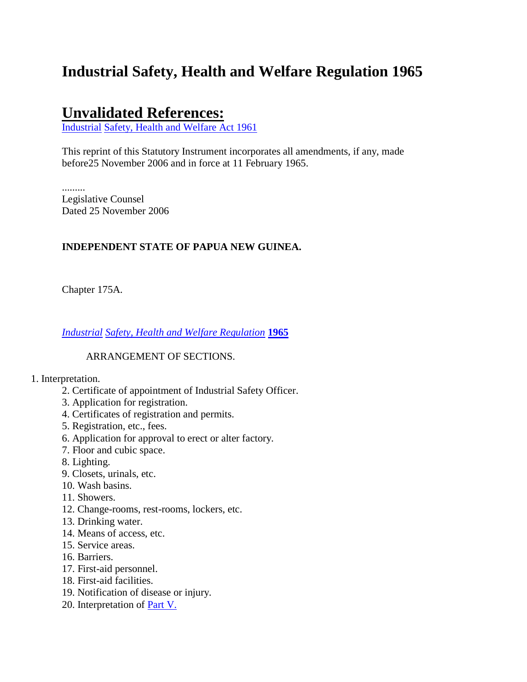# **Industrial Safety, Health and Welfare Regulation 1965**

# **Unvalidated References:**

[Industrial](http://www.paclii.org/pg/legis/consol_act/ishawa1961335/) [Safety, Health and Welfare Act 1961](http://www.paclii.org/pg/legis/consol_act/ishawa1961335/)

This reprint of this Statutory Instrument incorporates all amendments, if any, made before25 November 2006 and in force at 11 February 1965.

......... Legislative Counsel Dated 25 November 2006

# **INDEPENDENT STATE OF PAPUA NEW GUINEA.**

Chapter 175A.

*[Industrial](http://www.paclii.org/pg/legis/consol_act/ishawr1965426/) [Safety, Health and Welfare Regulation](http://www.paclii.org/pg/legis/consol_act/ishawr1965426/)* **[1965](http://www.paclii.org/pg/legis/consol_act/ishawr1965426/)**

### ARRANGEMENT OF SECTIONS.

#### 1. Interpretation.

- 2. Certificate of appointment of Industrial Safety Officer.
- 3. Application for registration.
- 4. Certificates of registration and permits.
- 5. Registration, etc., fees.
- 6. Application for approval to erect or alter factory.
- 7. Floor and cubic space.
- 8. Lighting.
- 9. Closets, urinals, etc.
- 10. Wash basins.
- 11. Showers.
- 12. Change-rooms, rest-rooms, lockers, etc.
- 13. Drinking water.
- 14. Means of access, etc.
- 15. Service areas.
- 16. Barriers.
- 17. First-aid personnel.
- 18. First-aid facilities.
- 19. Notification of disease or injury.
- 20. Interpretation of [Part V.](http://www.paclii.org/pg/legis/consol_act/ishawr1965426/index.html#p5)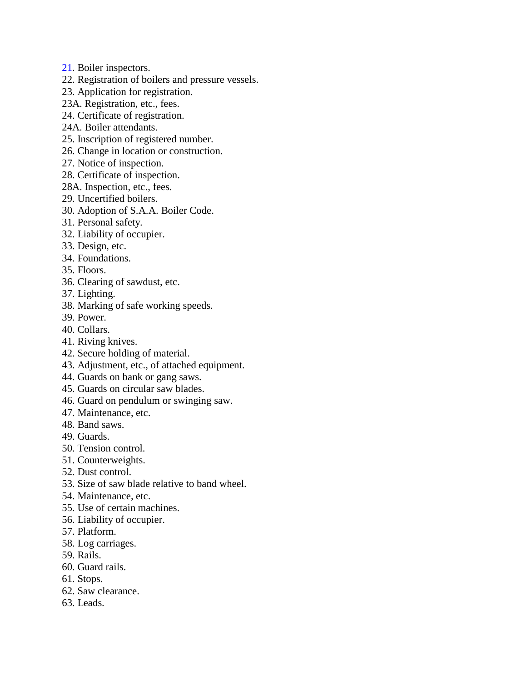- [21.](http://www.paclii.org/pg/legis/consol_act/ishawr1965426/index.html#p21) Boiler inspectors.
- 22. Registration of boilers and pressure vessels.
- 23. Application for registration.
- 23A. Registration, etc., fees.
- 24. Certificate of registration.
- 24A. Boiler attendants.
- 25. Inscription of registered number.
- 26. Change in location or construction.
- 27. Notice of inspection.
- 28. Certificate of inspection.
- 28A. Inspection, etc., fees.
- 29. Uncertified boilers.
- 30. Adoption of S.A.A. Boiler Code.
- 31. Personal safety.
- 32. Liability of occupier.
- 33. Design, etc.
- 34. Foundations.
- 35. Floors.
- 36. Clearing of sawdust, etc.
- 37. Lighting.
- 38. Marking of safe working speeds.
- 39. Power.
- 40. Collars.
- 41. Riving knives.
- 42. Secure holding of material.
- 43. Adjustment, etc., of attached equipment.
- 44. Guards on bank or gang saws.
- 45. Guards on circular saw blades.
- 46. Guard on pendulum or swinging saw.
- 47. Maintenance, etc.
- 48. Band saws.
- 49. Guards.
- 50. Tension control.
- 51. Counterweights.
- 52. Dust control.
- 53. Size of saw blade relative to band wheel.
- 54. Maintenance, etc.
- 55. Use of certain machines.
- 56. Liability of occupier.
- 57. Platform.
- 58. Log carriages.
- 59. Rails.
- 60. Guard rails.
- 61. Stops.
- 62. Saw clearance.
- 63. Leads.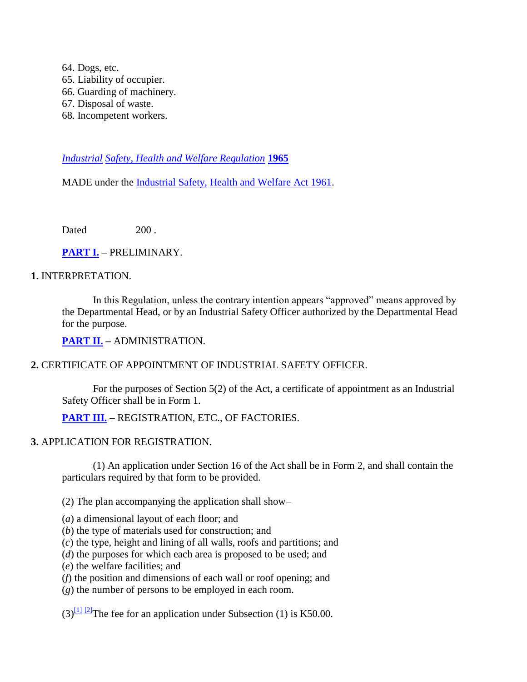64. Dogs, etc. 65. Liability of occupier. 66. Guarding of machinery. 67. Disposal of waste. 68. Incompetent workers.

*[Industrial](http://www.paclii.org/pg/legis/consol_act/ishawr1965426/) [Safety, Health and Welfare Regulation](http://www.paclii.org/pg/legis/consol_act/ishawr1965426/)* **[1965](http://www.paclii.org/pg/legis/consol_act/ishawr1965426/)**

MADE under the [Industrial Safety,](http://www.paclii.org/pg/legis/consol_act/ishawa1961335/) [Health and Welfare Act 1961.](http://www.paclii.org/pg/legis/consol_act/ishawa1961335/)

Dated 200

### **[PART I.](http://www.paclii.org/pg/legis/consol_act/ishawa1961335/index.html#p1) –** PRELIMINARY.

### **1.** INTERPRETATION.

In this Regulation, unless the contrary intention appears "approved" means approved by the Departmental Head, or by an Industrial Safety Officer authorized by the Departmental Head for the purpose.

**[PART II.](http://www.paclii.org/pg/legis/consol_act/ishawa1961335/index.html#p2) –** ADMINISTRATION.

### **2.** CERTIFICATE OF APPOINTMENT OF INDUSTRIAL SAFETY OFFICER.

For the purposes of Section 5(2) of the Act, a certificate of appointment as an Industrial Safety Officer shall be in Form 1.

### **[PART III.](http://www.paclii.org/pg/legis/consol_act/ishawa1961335/index.html#p3) –** REGISTRATION, ETC., OF FACTORIES.

#### **3.** APPLICATION FOR REGISTRATION.

(1) An application under Section 16 of the Act shall be in Form 2, and shall contain the particulars required by that form to be provided.

(2) The plan accompanying the application shall show–

- (*a*) a dimensional layout of each floor; and
- (*b*) the type of materials used for construction; and
- (*c*) the type, height and lining of all walls, roofs and partitions; and
- (*d*) the purposes for which each area is proposed to be used; and
- (*e*) the welfare facilities; and
- (*f*) the position and dimensions of each wall or roof opening; and
- (*g*) the number of persons to be employed in each room.

 $(3)$ <sup>[\[1\]](http://www.paclii.org/pg/legis/consol_act/ishawr1965426/#fn1) [\[2\]](http://www.paclii.org/pg/legis/consol_act/ishawr1965426/#fn2)</sup>The fee for an application under Subsection (1) is K50.00.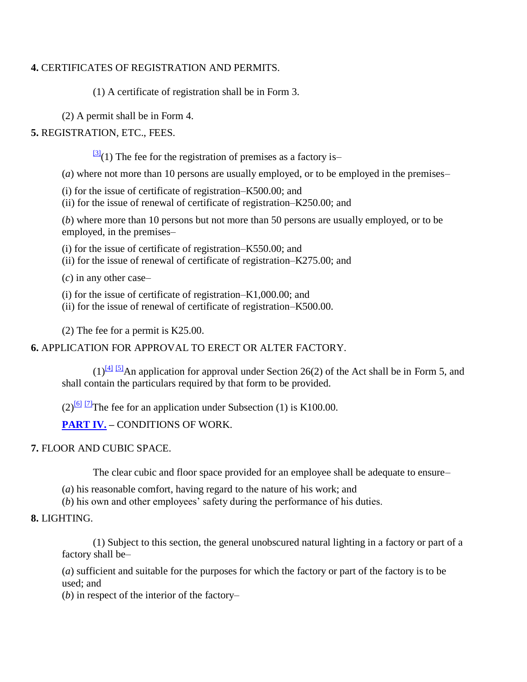### **4.** CERTIFICATES OF REGISTRATION AND PERMITS.

(1) A certificate of registration shall be in Form 3.

(2) A permit shall be in Form 4.

# **5.** REGISTRATION, ETC., FEES.

 $\frac{3}{3}$ (1) The fee for the registration of premises as a factory is–

(*a*) where not more than 10 persons are usually employed, or to be employed in the premises–

(i) for the issue of certificate of registration–K500.00; and

(ii) for the issue of renewal of certificate of registration–K250.00; and

(*b*) where more than 10 persons but not more than 50 persons are usually employed, or to be employed, in the premises–

(i) for the issue of certificate of registration–K550.00; and

(ii) for the issue of renewal of certificate of registration–K275.00; and

(*c*) in any other case–

(i) for the issue of certificate of registration–K1,000.00; and

(ii) for the issue of renewal of certificate of registration–K500.00.

(2) The fee for a permit is K25.00.

**6.** APPLICATION FOR APPROVAL TO ERECT OR ALTER FACTORY.

 $(1)^{[4] \t [5]}$  $(1)^{[4] \t [5]}$  $(1)^{[4] \t [5]}$  $(1)^{[4] \t [5]}$  $(1)^{[4] \t [5]}$ An application for approval under Section 26(2) of the Act shall be in Form 5, and shall contain the particulars required by that form to be provided.

 $(2)$ <sup>[\[6\]](http://www.paclii.org/pg/legis/consol_act/ishawr1965426/#fn6)</sup> <sup>[\[7\]](http://www.paclii.org/pg/legis/consol_act/ishawr1965426/#fn7)</sup>The fee for an application under Subsection (1) is K100.00.

**[PART IV.](http://www.paclii.org/pg/legis/consol_act/ishawa1961335/index.html#p4) –** CONDITIONS OF WORK.

# **7.** FLOOR AND CUBIC SPACE.

The clear cubic and floor space provided for an employee shall be adequate to ensure–

(*a*) his reasonable comfort, having regard to the nature of his work; and

(*b*) his own and other employees' safety during the performance of his duties.

# **8.** LIGHTING.

(1) Subject to this section, the general unobscured natural lighting in a factory or part of a factory shall be–

(*a*) sufficient and suitable for the purposes for which the factory or part of the factory is to be used; and

(*b*) in respect of the interior of the factory–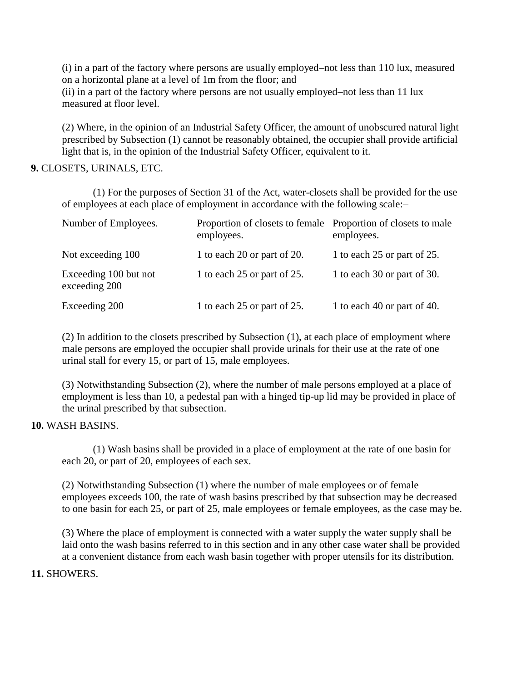(i) in a part of the factory where persons are usually employed–not less than 110 lux, measured on a horizontal plane at a level of 1m from the floor; and

(ii) in a part of the factory where persons are not usually employed–not less than 11 lux measured at floor level.

(2) Where, in the opinion of an Industrial Safety Officer, the amount of unobscured natural light prescribed by Subsection (1) cannot be reasonably obtained, the occupier shall provide artificial light that is, in the opinion of the Industrial Safety Officer, equivalent to it.

### **9.** CLOSETS, URINALS, ETC.

(1) For the purposes of Section 31 of the Act, water-closets shall be provided for the use of employees at each place of employment in accordance with the following scale:–

| Number of Employees.                   | Proportion of closets to female Proportion of closets to male<br>employees. | employees.                  |
|----------------------------------------|-----------------------------------------------------------------------------|-----------------------------|
| Not exceeding 100                      | 1 to each 20 or part of 20.                                                 | 1 to each 25 or part of 25. |
| Exceeding 100 but not<br>exceeding 200 | 1 to each 25 or part of 25.                                                 | 1 to each 30 or part of 30. |
| Exceeding 200                          | 1 to each 25 or part of 25.                                                 | 1 to each 40 or part of 40. |

(2) In addition to the closets prescribed by Subsection (1), at each place of employment where male persons are employed the occupier shall provide urinals for their use at the rate of one urinal stall for every 15, or part of 15, male employees.

(3) Notwithstanding Subsection (2), where the number of male persons employed at a place of employment is less than 10, a pedestal pan with a hinged tip-up lid may be provided in place of the urinal prescribed by that subsection.

### **10.** WASH BASINS.

(1) Wash basins shall be provided in a place of employment at the rate of one basin for each 20, or part of 20, employees of each sex.

(2) Notwithstanding Subsection (1) where the number of male employees or of female employees exceeds 100, the rate of wash basins prescribed by that subsection may be decreased to one basin for each 25, or part of 25, male employees or female employees, as the case may be.

(3) Where the place of employment is connected with a water supply the water supply shall be laid onto the wash basins referred to in this section and in any other case water shall be provided at a convenient distance from each wash basin together with proper utensils for its distribution.

### **11.** SHOWERS.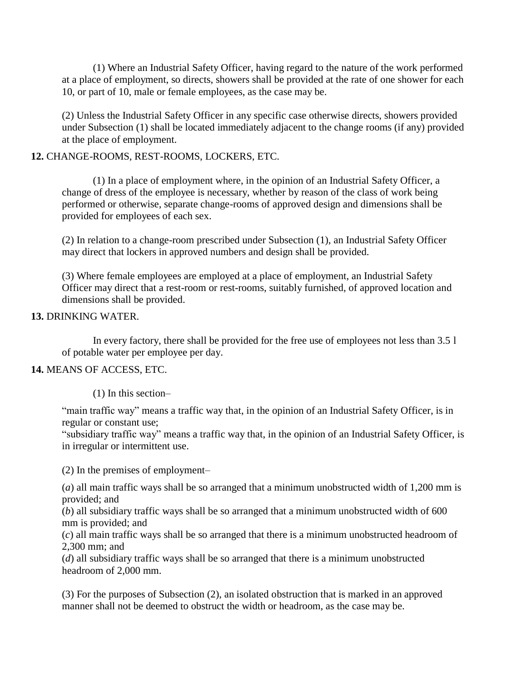(1) Where an Industrial Safety Officer, having regard to the nature of the work performed at a place of employment, so directs, showers shall be provided at the rate of one shower for each 10, or part of 10, male or female employees, as the case may be.

(2) Unless the Industrial Safety Officer in any specific case otherwise directs, showers provided under Subsection (1) shall be located immediately adjacent to the change rooms (if any) provided at the place of employment.

### **12.** CHANGE-ROOMS, REST-ROOMS, LOCKERS, ETC.

(1) In a place of employment where, in the opinion of an Industrial Safety Officer, a change of dress of the employee is necessary, whether by reason of the class of work being performed or otherwise, separate change-rooms of approved design and dimensions shall be provided for employees of each sex.

(2) In relation to a change-room prescribed under Subsection (1), an Industrial Safety Officer may direct that lockers in approved numbers and design shall be provided.

(3) Where female employees are employed at a place of employment, an Industrial Safety Officer may direct that a rest-room or rest-rooms, suitably furnished, of approved location and dimensions shall be provided.

### **13.** DRINKING WATER.

In every factory, there shall be provided for the free use of employees not less than 3.5 l of potable water per employee per day.

# **14.** MEANS OF ACCESS, ETC.

(1) In this section–

"main traffic way" means a traffic way that, in the opinion of an Industrial Safety Officer, is in regular or constant use;

"subsidiary traffic way" means a traffic way that, in the opinion of an Industrial Safety Officer, is in irregular or intermittent use.

(2) In the premises of employment–

(*a*) all main traffic ways shall be so arranged that a minimum unobstructed width of 1,200 mm is provided; and

 $(b)$  all subsidiary traffic ways shall be so arranged that a minimum unobstructed width of 600 mm is provided; and

(*c*) all main traffic ways shall be so arranged that there is a minimum unobstructed headroom of 2,300 mm; and

(*d*) all subsidiary traffic ways shall be so arranged that there is a minimum unobstructed headroom of 2,000 mm.

(3) For the purposes of Subsection (2), an isolated obstruction that is marked in an approved manner shall not be deemed to obstruct the width or headroom, as the case may be.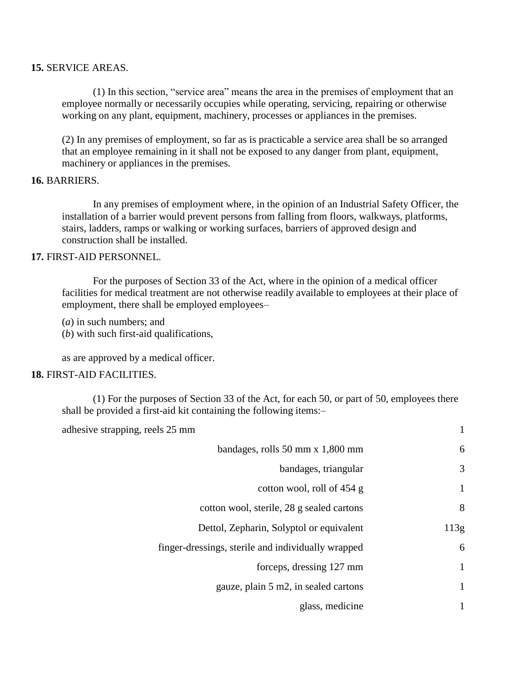### **15.** SERVICE AREAS.

(1) In this section, "service area" means the area in the premises of employment that an employee normally or necessarily occupies while operating, servicing, repairing or otherwise working on any plant, equipment, machinery, processes or appliances in the premises.

(2) In any premises of employment, so far as is practicable a service area shall be so arranged that an employee remaining in it shall not be exposed to any danger from plant, equipment, machinery or appliances in the premises.

### **16.** BARRIERS.

In any premises of employment where, in the opinion of an Industrial Safety Officer, the installation of a barrier would prevent persons from falling from floors, walkways, platforms, stairs, ladders, ramps or walking or working surfaces, barriers of approved design and construction shall be installed.

### **17.** FIRST-AID PERSONNEL.

For the purposes of Section 33 of the Act, where in the opinion of a medical officer facilities for medical treatment are not otherwise readily available to employees at their place of employment, there shall be employed employees–

(*a*) in such numbers; and

(*b*) with such first-aid qualifications,

as are approved by a medical officer.

### **18.** FIRST-AID FACILITIES.

(1) For the purposes of Section 33 of the Act, for each 50, or part of 50, employees there shall be provided a first-aid kit containing the following items:–

| adhesive strapping, reels 25 mm                    | 1    |
|----------------------------------------------------|------|
| bandages, rolls 50 mm x 1,800 mm                   | 6    |
| bandages, triangular                               | 3    |
| cotton wool, roll of 454 g                         | 1    |
| cotton wool, sterile, 28 g sealed cartons          | 8    |
| Dettol, Zepharin, Solyptol or equivalent           | 113g |
| finger-dressings, sterile and individually wrapped | 6    |
| forceps, dressing 127 mm                           | 1    |
| gauze, plain 5 m2, in sealed cartons               | 1    |
| glass, medicine                                    | 1    |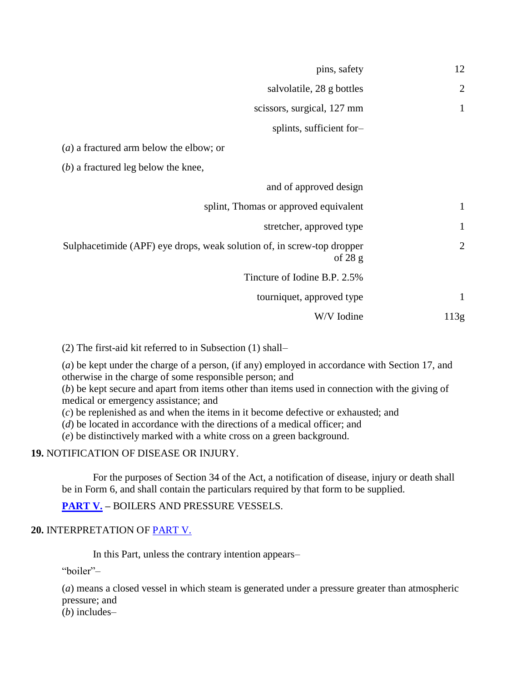| 12             | pins, safety                                                                        |
|----------------|-------------------------------------------------------------------------------------|
| $\overline{2}$ | salvolatile, 28 g bottles                                                           |
| $\mathbf{1}$   | scissors, surgical, 127 mm                                                          |
|                | splints, sufficient for-                                                            |
|                | $(a)$ a fractured arm below the elbow; or                                           |
|                | $(b)$ a fractured leg below the knee,                                               |
|                | and of approved design                                                              |
| $\mathbf{1}$   | splint, Thomas or approved equivalent                                               |
| $\mathbf{1}$   | stretcher, approved type                                                            |
| $\overline{c}$ | Sulphacetimide (APF) eye drops, weak solution of, in screw-top dropper<br>of $28 g$ |
|                | Tincture of Iodine B.P. 2.5%                                                        |
| $\mathbf{1}$   | tourniquet, approved type                                                           |
| 113g           | W/V Iodine                                                                          |
|                |                                                                                     |

(2) The first-aid kit referred to in Subsection (1) shall–

(*a*) be kept under the charge of a person, (if any) employed in accordance with Section 17, and otherwise in the charge of some responsible person; and

(*b*) be kept secure and apart from items other than items used in connection with the giving of medical or emergency assistance; and

(*c*) be replenished as and when the items in it become defective or exhausted; and

(*d*) be located in accordance with the directions of a medical officer; and

(*e*) be distinctively marked with a white cross on a green background.

**19.** NOTIFICATION OF DISEASE OR INJURY.

For the purposes of Section 34 of the Act, a notification of disease, injury or death shall be in Form 6, and shall contain the particulars required by that form to be supplied.

**[PART V.](http://www.paclii.org/pg/legis/consol_act/ishawa1961335/index.html#p5) –** BOILERS AND PRESSURE VESSELS.

# **20.** INTERPRETATION OF [PART V.](http://www.paclii.org/pg/legis/consol_act/ishawa1961335/index.html#p5)

In this Part, unless the contrary intention appears–

"boiler"–

(*a*) means a closed vessel in which steam is generated under a pressure greater than atmospheric pressure; and

(*b*) includes–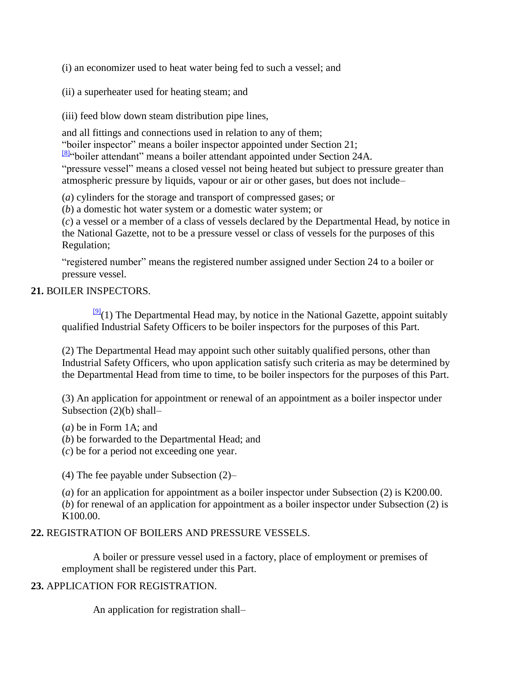(i) an economizer used to heat water being fed to such a vessel; and

(ii) a superheater used for heating steam; and

(iii) feed blow down steam distribution pipe lines,

and all fittings and connections used in relation to any of them;

"boiler inspector" means a boiler inspector appointed under Section 21;

[\[8\]](http://www.paclii.org/pg/legis/consol_act/ishawr1965426/#fn8)"boiler attendant" means a boiler attendant appointed under Section 24A.

"pressure vessel" means a closed vessel not being heated but subject to pressure greater than atmospheric pressure by liquids, vapour or air or other gases, but does not include–

(*a*) cylinders for the storage and transport of compressed gases; or

(*b*) a domestic hot water system or a domestic water system; or

(*c*) a vessel or a member of a class of vessels declared by the Departmental Head, by notice in the National Gazette, not to be a pressure vessel or class of vessels for the purposes of this Regulation;

"registered number" means the registered number assigned under Section 24 to a boiler or pressure vessel.

# **21.** BOILER INSPECTORS.

 $\frac{191}{21}$ (1) The Departmental Head may, by notice in the National Gazette, appoint suitably qualified Industrial Safety Officers to be boiler inspectors for the purposes of this Part.

(2) The Departmental Head may appoint such other suitably qualified persons, other than Industrial Safety Officers, who upon application satisfy such criteria as may be determined by the Departmental Head from time to time, to be boiler inspectors for the purposes of this Part.

(3) An application for appointment or renewal of an appointment as a boiler inspector under Subsection (2)(b) shall–

(*a*) be in Form 1A; and

(*b*) be forwarded to the Departmental Head; and

(*c*) be for a period not exceeding one year.

(4) The fee payable under Subsection (2)–

(*a*) for an application for appointment as a boiler inspector under Subsection (2) is K200.00. (*b*) for renewal of an application for appointment as a boiler inspector under Subsection (2) is K100.00.

# **22.** REGISTRATION OF BOILERS AND PRESSURE VESSELS.

A boiler or pressure vessel used in a factory, place of employment or premises of employment shall be registered under this Part.

# **23.** APPLICATION FOR REGISTRATION.

An application for registration shall–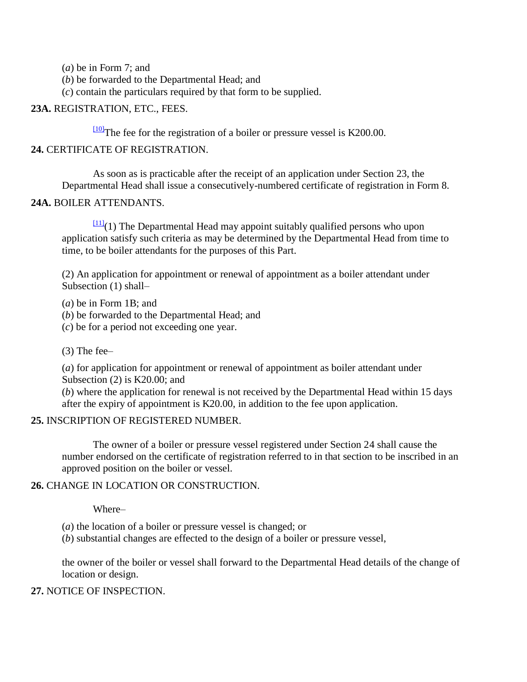(*a*) be in Form 7; and

(*b*) be forwarded to the Departmental Head; and

(*c*) contain the particulars required by that form to be supplied.

### **23A.** REGISTRATION, ETC., FEES.

[\[10\]](http://www.paclii.org/pg/legis/consol_act/ishawr1965426/#fn10)The fee for the registration of a boiler or pressure vessel is K200.00.

### **24.** CERTIFICATE OF REGISTRATION.

As soon as is practicable after the receipt of an application under Section 23, the Departmental Head shall issue a consecutively-numbered certificate of registration in Form 8.

### **24A.** BOILER ATTENDANTS.

 $\frac{[11]}{[11]}(1)$  $\frac{[11]}{[11]}(1)$  $\frac{[11]}{[11]}(1)$  The Departmental Head may appoint suitably qualified persons who upon application satisfy such criteria as may be determined by the Departmental Head from time to time, to be boiler attendants for the purposes of this Part.

(2) An application for appointment or renewal of appointment as a boiler attendant under Subsection (1) shall–

(*a*) be in Form 1B; and

(*b*) be forwarded to the Departmental Head; and

(*c*) be for a period not exceeding one year.

(3) The fee–

(*a*) for application for appointment or renewal of appointment as boiler attendant under Subsection (2) is K20.00; and

(*b*) where the application for renewal is not received by the Departmental Head within 15 days after the expiry of appointment is K20.00, in addition to the fee upon application.

### **25.** INSCRIPTION OF REGISTERED NUMBER.

The owner of a boiler or pressure vessel registered under Section 24 shall cause the number endorsed on the certificate of registration referred to in that section to be inscribed in an approved position on the boiler or vessel.

### **26.** CHANGE IN LOCATION OR CONSTRUCTION.

Where–

- (*a*) the location of a boiler or pressure vessel is changed; or
- (*b*) substantial changes are effected to the design of a boiler or pressure vessel,

the owner of the boiler or vessel shall forward to the Departmental Head details of the change of location or design.

# **27.** NOTICE OF INSPECTION.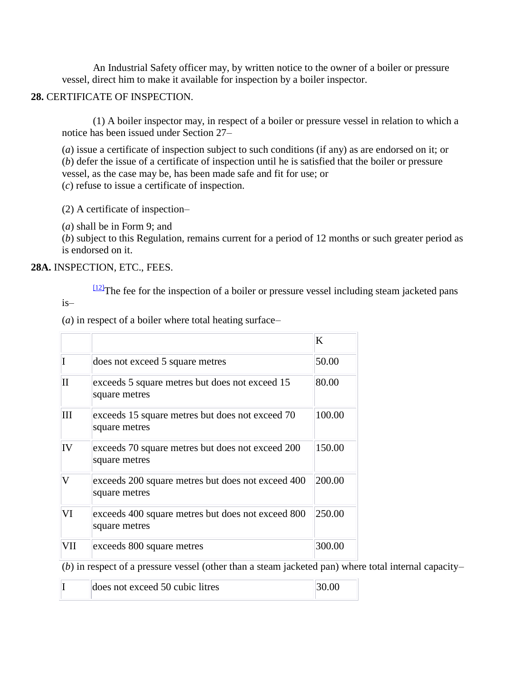An Industrial Safety officer may, by written notice to the owner of a boiler or pressure vessel, direct him to make it available for inspection by a boiler inspector.

# **28.** CERTIFICATE OF INSPECTION.

(1) A boiler inspector may, in respect of a boiler or pressure vessel in relation to which a notice has been issued under Section 27–

(*a*) issue a certificate of inspection subject to such conditions (if any) as are endorsed on it; or (*b*) defer the issue of a certificate of inspection until he is satisfied that the boiler or pressure vessel, as the case may be, has been made safe and fit for use; or (*c*) refuse to issue a certificate of inspection.

(2) A certificate of inspection–

(*a*) shall be in Form 9; and

(*b*) subject to this Regulation, remains current for a period of 12 months or such greater period as is endorsed on it.

### **28A.** INSPECTION, ETC., FEES.

 $\frac{122}{12}$ The fee for the inspection of a boiler or pressure vessel including steam jacketed pans is–

(*a*) in respect of a boiler where total heating surface–

|     |                                                                    | K      |
|-----|--------------------------------------------------------------------|--------|
|     | does not exceed 5 square metres                                    | 50.00  |
| Н   | exceeds 5 square metres but does not exceed 15<br>square metres    | 80.00  |
| Ш   | exceeds 15 square metres but does not exceed 70<br>square metres   | 100.00 |
| IV  | exceeds 70 square metres but does not exceed 200<br>square metres  | 150.00 |
| V   | exceeds 200 square metres but does not exceed 400<br>square metres | 200.00 |
| VI  | exceeds 400 square metres but does not exceed 800<br>square metres | 250.00 |
| VII | exceeds 800 square metres                                          | 300.00 |

(*b*) in respect of a pressure vessel (other than a steam jacketed pan) where total internal capacity–

|  | does not exceed 50 cubic litres | 130.00 |
|--|---------------------------------|--------|
|  |                                 |        |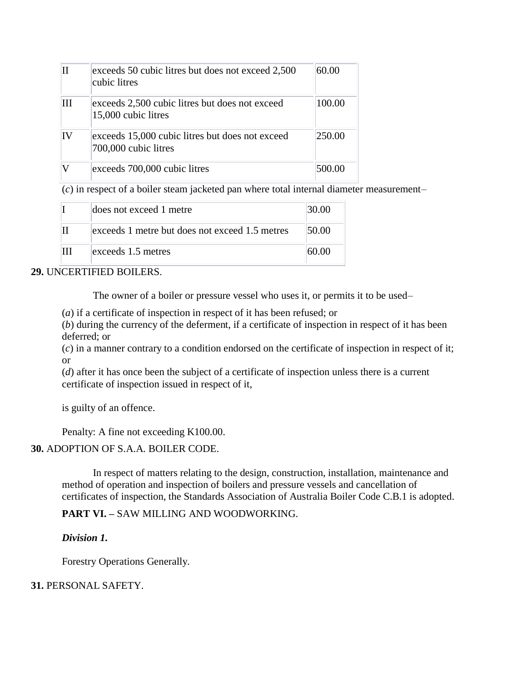| ΙH | exceeds 50 cubic litres but does not exceed 2,500<br>cubic litres       | 60.00  |
|----|-------------------------------------------------------------------------|--------|
| ĦН | exceeds 2,500 cubic litres but does not exceed<br>15,000 cubic litres   | 100.00 |
| IV | exceeds 15,000 cubic litres but does not exceed<br>700,000 cubic litres | 250.00 |
|    | exceeds 700,000 cubic litres                                            | 500.00 |

(*c*) in respect of a boiler steam jacketed pan where total internal diameter measurement–

|   | does not exceed 1 metre                        | 30.00 |
|---|------------------------------------------------|-------|
|   | exceeds 1 metre but does not exceed 1.5 metres | 50.00 |
| Ш | exceeds 1.5 metres                             | 60.OO |

### **29.** UNCERTIFIED BOILERS.

The owner of a boiler or pressure vessel who uses it, or permits it to be used–

(*a*) if a certificate of inspection in respect of it has been refused; or

(*b*) during the currency of the deferment, if a certificate of inspection in respect of it has been deferred; or

(*c*) in a manner contrary to a condition endorsed on the certificate of inspection in respect of it; or

(*d*) after it has once been the subject of a certificate of inspection unless there is a current certificate of inspection issued in respect of it,

is guilty of an offence.

Penalty: A fine not exceeding K100.00.

### **30.** ADOPTION OF S.A.A. BOILER CODE.

In respect of matters relating to the design, construction, installation, maintenance and method of operation and inspection of boilers and pressure vessels and cancellation of certificates of inspection, the Standards Association of Australia Boiler Code C.B.1 is adopted.

# **PART VI. –** SAW MILLING AND WOODWORKING.

*Division 1.*

Forestry Operations Generally.

### **31.** PERSONAL SAFETY.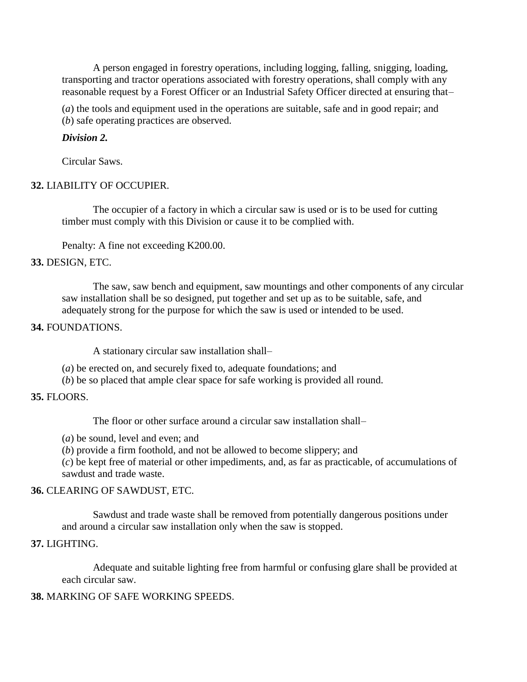A person engaged in forestry operations, including logging, falling, snigging, loading, transporting and tractor operations associated with forestry operations, shall comply with any reasonable request by a Forest Officer or an Industrial Safety Officer directed at ensuring that–

(*a*) the tools and equipment used in the operations are suitable, safe and in good repair; and (*b*) safe operating practices are observed.

# *Division 2.*

Circular Saws.

# **32.** LIABILITY OF OCCUPIER.

The occupier of a factory in which a circular saw is used or is to be used for cutting timber must comply with this Division or cause it to be complied with.

Penalty: A fine not exceeding K200.00.

# **33.** DESIGN, ETC.

The saw, saw bench and equipment, saw mountings and other components of any circular saw installation shall be so designed, put together and set up as to be suitable, safe, and adequately strong for the purpose for which the saw is used or intended to be used.

# **34.** FOUNDATIONS.

A stationary circular saw installation shall–

(*a*) be erected on, and securely fixed to, adequate foundations; and

(*b*) be so placed that ample clear space for safe working is provided all round.

# **35.** FLOORS.

The floor or other surface around a circular saw installation shall–

(*a*) be sound, level and even; and

(*b*) provide a firm foothold, and not be allowed to become slippery; and

(*c*) be kept free of material or other impediments, and, as far as practicable, of accumulations of sawdust and trade waste.

# **36.** CLEARING OF SAWDUST, ETC.

Sawdust and trade waste shall be removed from potentially dangerous positions under and around a circular saw installation only when the saw is stopped.

# **37.** LIGHTING.

Adequate and suitable lighting free from harmful or confusing glare shall be provided at each circular saw.

# **38.** MARKING OF SAFE WORKING SPEEDS.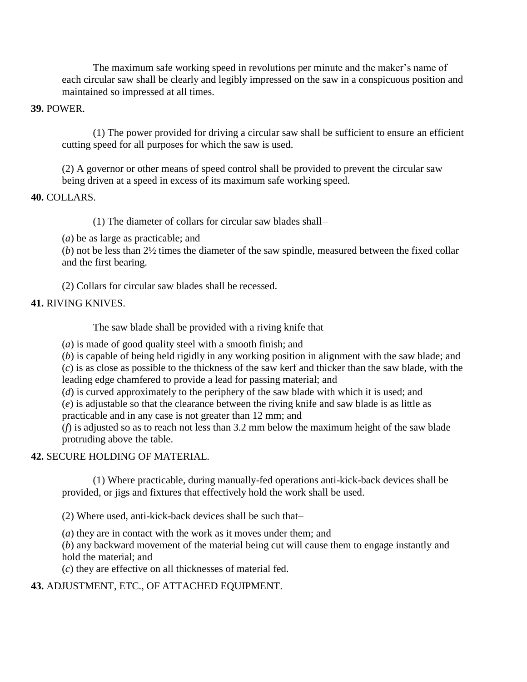The maximum safe working speed in revolutions per minute and the maker's name of each circular saw shall be clearly and legibly impressed on the saw in a conspicuous position and maintained so impressed at all times.

### **39.** POWER.

(1) The power provided for driving a circular saw shall be sufficient to ensure an efficient cutting speed for all purposes for which the saw is used.

(2) A governor or other means of speed control shall be provided to prevent the circular saw being driven at a speed in excess of its maximum safe working speed.

### **40.** COLLARS.

(1) The diameter of collars for circular saw blades shall–

(*a*) be as large as practicable; and

(*b*) not be less than 2½ times the diameter of the saw spindle, measured between the fixed collar and the first bearing.

(2) Collars for circular saw blades shall be recessed.

# **41.** RIVING KNIVES.

The saw blade shall be provided with a riving knife that–

(*a*) is made of good quality steel with a smooth finish; and

(*b*) is capable of being held rigidly in any working position in alignment with the saw blade; and

(*c*) is as close as possible to the thickness of the saw kerf and thicker than the saw blade, with the leading edge chamfered to provide a lead for passing material; and

(*d*) is curved approximately to the periphery of the saw blade with which it is used; and

(*e*) is adjustable so that the clearance between the riving knife and saw blade is as little as practicable and in any case is not greater than 12 mm; and

(*f*) is adjusted so as to reach not less than 3.2 mm below the maximum height of the saw blade protruding above the table.

# **42.** SECURE HOLDING OF MATERIAL.

(1) Where practicable, during manually-fed operations anti-kick-back devices shall be provided, or jigs and fixtures that effectively hold the work shall be used.

(2) Where used, anti-kick-back devices shall be such that–

(*a*) they are in contact with the work as it moves under them; and

(*b*) any backward movement of the material being cut will cause them to engage instantly and hold the material; and

(*c*) they are effective on all thicknesses of material fed.

**43.** ADJUSTMENT, ETC., OF ATTACHED EQUIPMENT.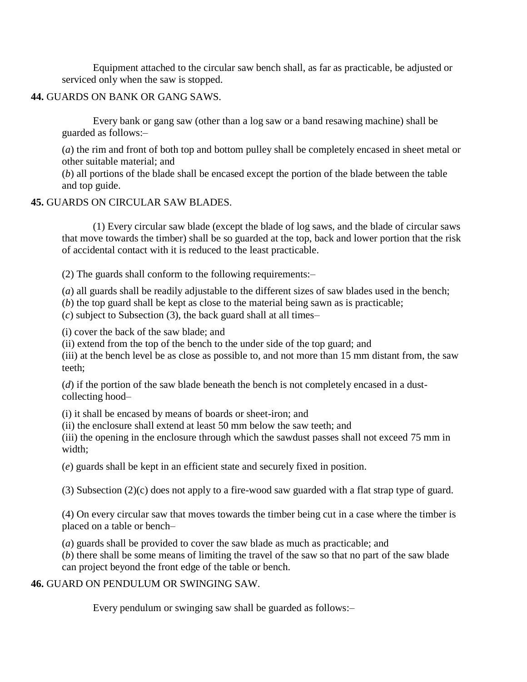Equipment attached to the circular saw bench shall, as far as practicable, be adjusted or serviced only when the saw is stopped.

### **44.** GUARDS ON BANK OR GANG SAWS.

Every bank or gang saw (other than a log saw or a band resawing machine) shall be guarded as follows:–

(*a*) the rim and front of both top and bottom pulley shall be completely encased in sheet metal or other suitable material; and

(*b*) all portions of the blade shall be encased except the portion of the blade between the table and top guide.

### **45.** GUARDS ON CIRCULAR SAW BLADES.

(1) Every circular saw blade (except the blade of log saws, and the blade of circular saws that move towards the timber) shall be so guarded at the top, back and lower portion that the risk of accidental contact with it is reduced to the least practicable.

(2) The guards shall conform to the following requirements:–

(*a*) all guards shall be readily adjustable to the different sizes of saw blades used in the bench;

(*b*) the top guard shall be kept as close to the material being sawn as is practicable;

(*c*) subject to Subsection (3), the back guard shall at all times–

(i) cover the back of the saw blade; and

(ii) extend from the top of the bench to the under side of the top guard; and

(iii) at the bench level be as close as possible to, and not more than 15 mm distant from, the saw teeth;

(*d*) if the portion of the saw blade beneath the bench is not completely encased in a dustcollecting hood–

(i) it shall be encased by means of boards or sheet-iron; and

(ii) the enclosure shall extend at least 50 mm below the saw teeth; and

(iii) the opening in the enclosure through which the sawdust passes shall not exceed 75 mm in width;

(*e*) guards shall be kept in an efficient state and securely fixed in position.

(3) Subsection (2)(c) does not apply to a fire-wood saw guarded with a flat strap type of guard.

(4) On every circular saw that moves towards the timber being cut in a case where the timber is placed on a table or bench–

(*a*) guards shall be provided to cover the saw blade as much as practicable; and

(*b*) there shall be some means of limiting the travel of the saw so that no part of the saw blade can project beyond the front edge of the table or bench.

# **46.** GUARD ON PENDULUM OR SWINGING SAW.

Every pendulum or swinging saw shall be guarded as follows:–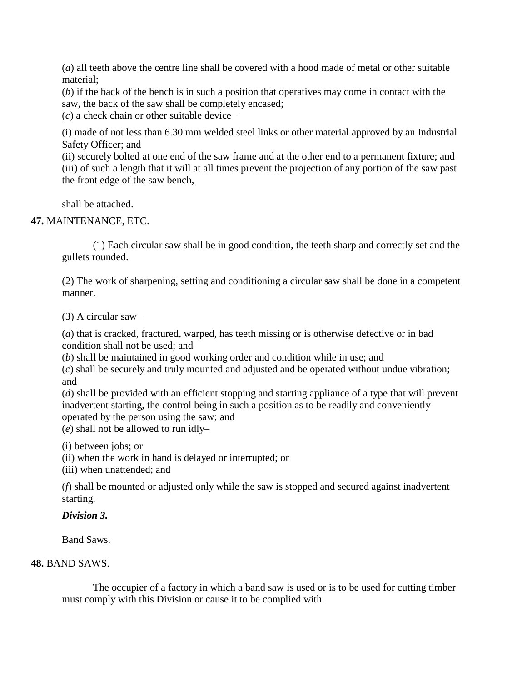(*a*) all teeth above the centre line shall be covered with a hood made of metal or other suitable material;

(*b*) if the back of the bench is in such a position that operatives may come in contact with the saw, the back of the saw shall be completely encased;

(*c*) a check chain or other suitable device–

(i) made of not less than 6.30 mm welded steel links or other material approved by an Industrial Safety Officer; and

(ii) securely bolted at one end of the saw frame and at the other end to a permanent fixture; and (iii) of such a length that it will at all times prevent the projection of any portion of the saw past the front edge of the saw bench,

shall be attached.

# **47.** MAINTENANCE, ETC.

(1) Each circular saw shall be in good condition, the teeth sharp and correctly set and the gullets rounded.

(2) The work of sharpening, setting and conditioning a circular saw shall be done in a competent manner.

(3) A circular saw–

(*a*) that is cracked, fractured, warped, has teeth missing or is otherwise defective or in bad condition shall not be used; and

(*b*) shall be maintained in good working order and condition while in use; and

(*c*) shall be securely and truly mounted and adjusted and be operated without undue vibration; and

(*d*) shall be provided with an efficient stopping and starting appliance of a type that will prevent inadvertent starting, the control being in such a position as to be readily and conveniently operated by the person using the saw; and

(*e*) shall not be allowed to run idly–

(i) between jobs; or

(ii) when the work in hand is delayed or interrupted; or

(iii) when unattended; and

(*f*) shall be mounted or adjusted only while the saw is stopped and secured against inadvertent starting.

# *Division 3.*

Band Saws.

# **48.** BAND SAWS.

The occupier of a factory in which a band saw is used or is to be used for cutting timber must comply with this Division or cause it to be complied with.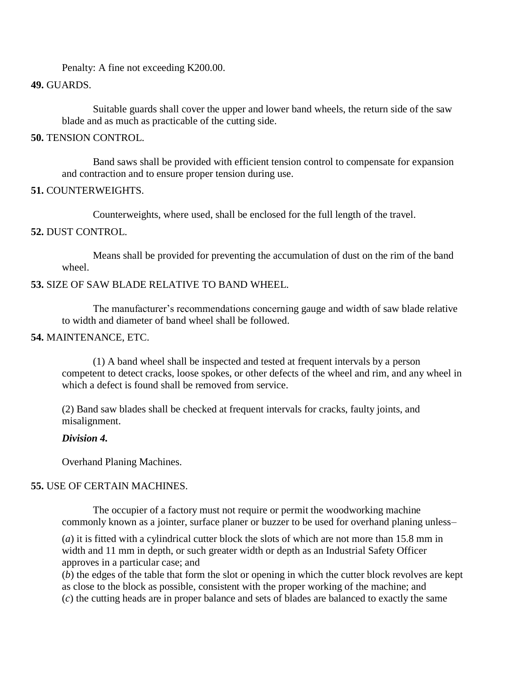Penalty: A fine not exceeding K200.00.

### **49.** GUARDS.

Suitable guards shall cover the upper and lower band wheels, the return side of the saw blade and as much as practicable of the cutting side.

### **50.** TENSION CONTROL.

Band saws shall be provided with efficient tension control to compensate for expansion and contraction and to ensure proper tension during use.

### **51.** COUNTERWEIGHTS.

Counterweights, where used, shall be enclosed for the full length of the travel.

### **52.** DUST CONTROL.

Means shall be provided for preventing the accumulation of dust on the rim of the band wheel.

# **53.** SIZE OF SAW BLADE RELATIVE TO BAND WHEEL.

The manufacturer's recommendations concerning gauge and width of saw blade relative to width and diameter of band wheel shall be followed.

### **54.** MAINTENANCE, ETC.

(1) A band wheel shall be inspected and tested at frequent intervals by a person competent to detect cracks, loose spokes, or other defects of the wheel and rim, and any wheel in which a defect is found shall be removed from service.

(2) Band saw blades shall be checked at frequent intervals for cracks, faulty joints, and misalignment.

#### *Division 4.*

Overhand Planing Machines.

### **55.** USE OF CERTAIN MACHINES.

The occupier of a factory must not require or permit the woodworking machine commonly known as a jointer, surface planer or buzzer to be used for overhand planing unless–

(*a*) it is fitted with a cylindrical cutter block the slots of which are not more than 15.8 mm in width and 11 mm in depth, or such greater width or depth as an Industrial Safety Officer approves in a particular case; and

(*b*) the edges of the table that form the slot or opening in which the cutter block revolves are kept as close to the block as possible, consistent with the proper working of the machine; and (*c*) the cutting heads are in proper balance and sets of blades are balanced to exactly the same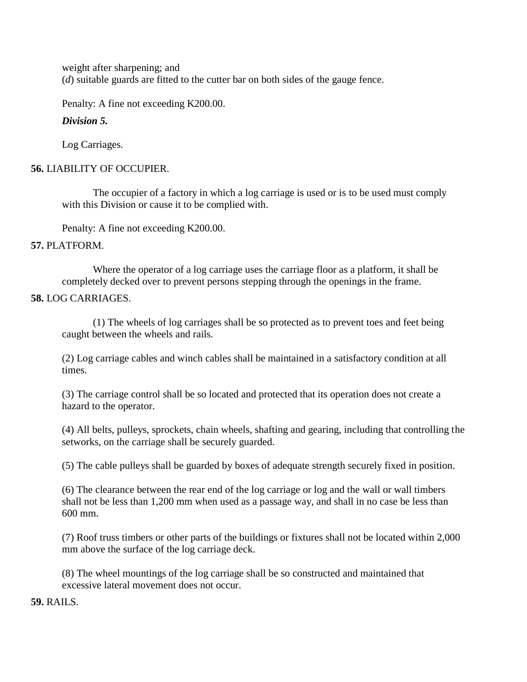weight after sharpening; and (*d*) suitable guards are fitted to the cutter bar on both sides of the gauge fence.

Penalty: A fine not exceeding K200.00.

# *Division 5.*

Log Carriages.

# **56.** LIABILITY OF OCCUPIER.

The occupier of a factory in which a log carriage is used or is to be used must comply with this Division or cause it to be complied with.

Penalty: A fine not exceeding K200.00.

# **57.** PLATFORM.

Where the operator of a log carriage uses the carriage floor as a platform, it shall be completely decked over to prevent persons stepping through the openings in the frame.

# **58.** LOG CARRIAGES.

(1) The wheels of log carriages shall be so protected as to prevent toes and feet being caught between the wheels and rails.

(2) Log carriage cables and winch cables shall be maintained in a satisfactory condition at all times.

(3) The carriage control shall be so located and protected that its operation does not create a hazard to the operator.

(4) All belts, pulleys, sprockets, chain wheels, shafting and gearing, including that controlling the setworks, on the carriage shall be securely guarded.

(5) The cable pulleys shall be guarded by boxes of adequate strength securely fixed in position.

(6) The clearance between the rear end of the log carriage or log and the wall or wall timbers shall not be less than 1,200 mm when used as a passage way, and shall in no case be less than 600 mm.

(7) Roof truss timbers or other parts of the buildings or fixtures shall not be located within 2,000 mm above the surface of the log carriage deck.

(8) The wheel mountings of the log carriage shall be so constructed and maintained that excessive lateral movement does not occur.

**59.** RAILS.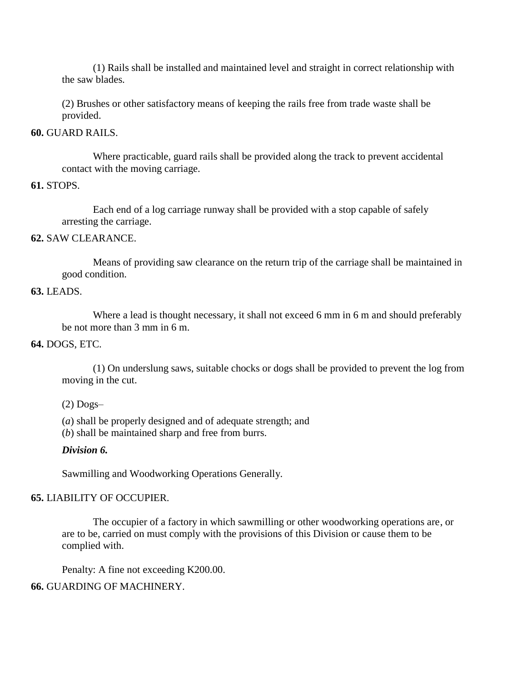(1) Rails shall be installed and maintained level and straight in correct relationship with the saw blades.

(2) Brushes or other satisfactory means of keeping the rails free from trade waste shall be provided.

### **60.** GUARD RAILS.

Where practicable, guard rails shall be provided along the track to prevent accidental contact with the moving carriage.

### **61.** STOPS.

Each end of a log carriage runway shall be provided with a stop capable of safely arresting the carriage.

### **62.** SAW CLEARANCE.

Means of providing saw clearance on the return trip of the carriage shall be maintained in good condition.

### **63.** LEADS.

Where a lead is thought necessary, it shall not exceed 6 mm in 6 m and should preferably be not more than 3 mm in 6 m.

### **64.** DOGS, ETC.

(1) On underslung saws, suitable chocks or dogs shall be provided to prevent the log from moving in the cut.

 $(2)$  Dogs-

(*a*) shall be properly designed and of adequate strength; and

(*b*) shall be maintained sharp and free from burrs.

#### *Division 6.*

Sawmilling and Woodworking Operations Generally.

### **65.** LIABILITY OF OCCUPIER.

The occupier of a factory in which sawmilling or other woodworking operations are, or are to be, carried on must comply with the provisions of this Division or cause them to be complied with.

Penalty: A fine not exceeding K200.00.

### **66.** GUARDING OF MACHINERY.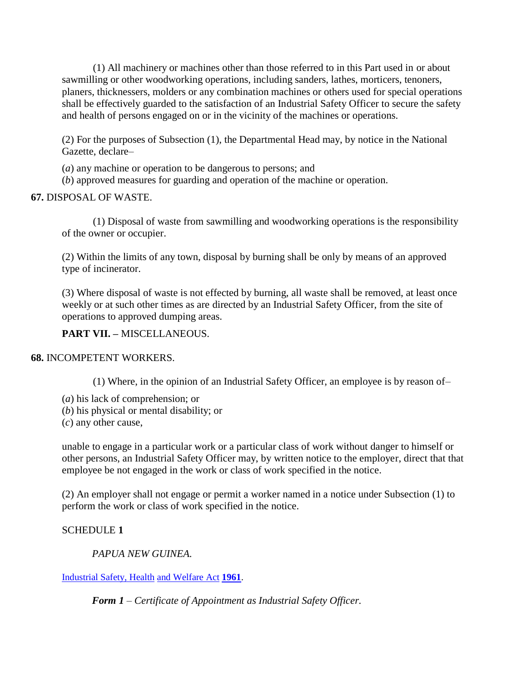(1) All machinery or machines other than those referred to in this Part used in or about sawmilling or other woodworking operations, including sanders, lathes, morticers, tenoners, planers, thicknessers, molders or any combination machines or others used for special operations shall be effectively guarded to the satisfaction of an Industrial Safety Officer to secure the safety and health of persons engaged on or in the vicinity of the machines or operations.

(2) For the purposes of Subsection (1), the Departmental Head may, by notice in the National Gazette, declare–

(*a*) any machine or operation to be dangerous to persons; and

(*b*) approved measures for guarding and operation of the machine or operation.

# **67.** DISPOSAL OF WASTE.

(1) Disposal of waste from sawmilling and woodworking operations is the responsibility of the owner or occupier.

(2) Within the limits of any town, disposal by burning shall be only by means of an approved type of incinerator.

(3) Where disposal of waste is not effected by burning, all waste shall be removed, at least once weekly or at such other times as are directed by an Industrial Safety Officer, from the site of operations to approved dumping areas.

# **PART VII. –** MISCELLANEOUS.

# **68.** INCOMPETENT WORKERS.

(1) Where, in the opinion of an Industrial Safety Officer, an employee is by reason of–

- (*a*) his lack of comprehension; or
- (*b*) his physical or mental disability; or
- (*c*) any other cause,

unable to engage in a particular work or a particular class of work without danger to himself or other persons, an Industrial Safety Officer may, by written notice to the employer, direct that that employee be not engaged in the work or class of work specified in the notice.

(2) An employer shall not engage or permit a worker named in a notice under Subsection (1) to perform the work or class of work specified in the notice.

# SCHEDULE **1**

*PAPUA NEW GUINEA.*

[Industrial Safety, Health](http://www.paclii.org/pg/legis/consol_act/ishawa1961335/) [and Welfare Act](http://www.paclii.org/pg/legis/consol_act/ishawa1961335/) **[1961](http://www.paclii.org/pg/legis/consol_act/ishawa1961335/)**.

*Form 1 – Certificate of Appointment as Industrial Safety Officer.*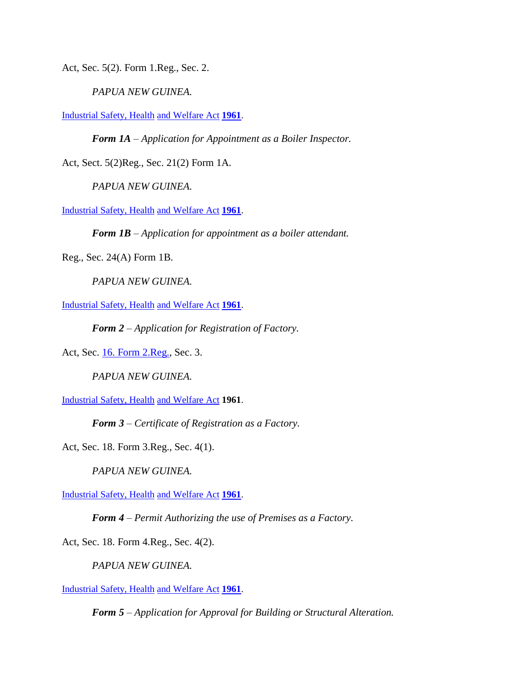Act, Sec. 5(2). Form 1.Reg., Sec. 2.

*PAPUA NEW GUINEA.*

[Industrial Safety, Health](http://www.paclii.org/pg/legis/consol_act/ishawa1961335/) [and Welfare Act](http://www.paclii.org/pg/legis/consol_act/ishawa1961335/) **[1961](http://www.paclii.org/pg/legis/consol_act/ishawa1961335/)**.

*Form 1A – Application for Appointment as a Boiler Inspector.*

Act, Sect. 5(2)Reg., Sec. 21(2) Form 1A.

*PAPUA NEW GUINEA.*

[Industrial Safety, Health](http://www.paclii.org/pg/legis/consol_act/ishawa1961335/) [and Welfare Act](http://www.paclii.org/pg/legis/consol_act/ishawa1961335/) **[1961](http://www.paclii.org/pg/legis/consol_act/ishawa1961335/)**.

*Form 1B – Application for appointment as a boiler attendant.*

Reg., Sec. 24(A) Form 1B.

*PAPUA NEW GUINEA.*

[Industrial Safety, Health](http://www.paclii.org/pg/legis/consol_act/ishawa1961335/) [and Welfare Act](http://www.paclii.org/pg/legis/consol_act/ishawa1961335/) **[1961](http://www.paclii.org/pg/legis/consol_act/ishawa1961335/)**.

*Form 2 – Application for Registration of Factory.*

Act, Sec. [16. Form 2.Reg.,](http://www.paclii.org/cgi-bin/LawCite?cit=16%20Form%202) Sec. 3.

*PAPUA NEW GUINEA.*

[Industrial Safety, Health](http://www.paclii.org/pg/legis/consol_act/ishawa1961335/) [and Welfare Act](http://www.paclii.org/pg/legis/consol_act/ishawa1961335/) **1961**.

*Form 3 – Certificate of Registration as a Factory.*

Act, Sec. 18. Form 3.Reg., Sec. 4(1).

*PAPUA NEW GUINEA.*

[Industrial Safety, Health](http://www.paclii.org/pg/legis/consol_act/ishawa1961335/) [and Welfare Act](http://www.paclii.org/pg/legis/consol_act/ishawa1961335/) **[1961](http://www.paclii.org/pg/legis/consol_act/ishawa1961335/)**.

*Form 4 – Permit Authorizing the use of Premises as a Factory.*

Act, Sec. 18. Form 4.Reg., Sec. 4(2).

*PAPUA NEW GUINEA.*

[Industrial Safety, Health](http://www.paclii.org/pg/legis/consol_act/ishawa1961335/) [and Welfare Act](http://www.paclii.org/pg/legis/consol_act/ishawa1961335/) **[1961](http://www.paclii.org/pg/legis/consol_act/ishawa1961335/)**.

*Form 5 – Application for Approval for Building or Structural Alteration.*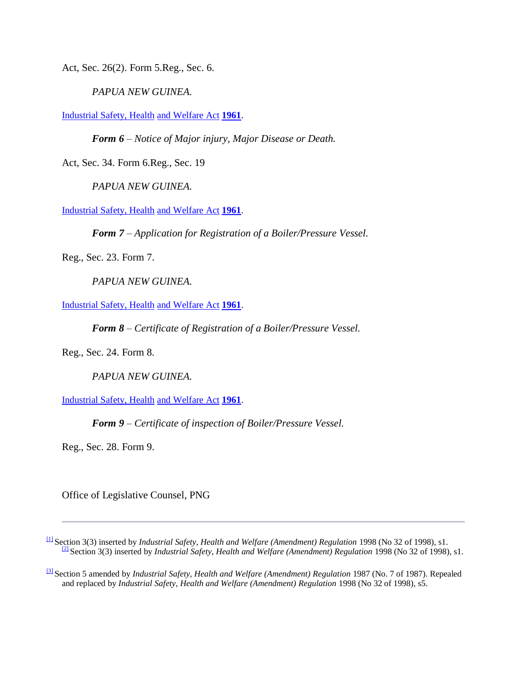Act, Sec. 26(2). Form 5.Reg., Sec. 6.

*PAPUA NEW GUINEA.*

[Industrial Safety, Health](http://www.paclii.org/pg/legis/consol_act/ishawa1961335/) [and Welfare Act](http://www.paclii.org/pg/legis/consol_act/ishawa1961335/) **[1961](http://www.paclii.org/pg/legis/consol_act/ishawa1961335/)**.

*Form 6 – Notice of Major injury, Major Disease or Death.*

Act, Sec. 34. Form 6.Reg., Sec. 19

*PAPUA NEW GUINEA.*

[Industrial Safety, Health](http://www.paclii.org/pg/legis/consol_act/ishawa1961335/) [and Welfare Act](http://www.paclii.org/pg/legis/consol_act/ishawa1961335/) **[1961](http://www.paclii.org/pg/legis/consol_act/ishawa1961335/)**.

*Form 7 – Application for Registration of a Boiler/Pressure Vessel.*

Reg., Sec. 23. Form 7.

*PAPUA NEW GUINEA.*

[Industrial Safety, Health](http://www.paclii.org/pg/legis/consol_act/ishawa1961335/) [and Welfare Act](http://www.paclii.org/pg/legis/consol_act/ishawa1961335/) **[1961](http://www.paclii.org/pg/legis/consol_act/ishawa1961335/)**.

*Form 8 – Certificate of Registration of a Boiler/Pressure Vessel.*

Reg., Sec. 24. Form 8.

*PAPUA NEW GUINEA.*

[Industrial Safety, Health](http://www.paclii.org/pg/legis/consol_act/ishawa1961335/) [and Welfare Act](http://www.paclii.org/pg/legis/consol_act/ishawa1961335/) **[1961](http://www.paclii.org/pg/legis/consol_act/ishawa1961335/)**.

*Form 9 – Certificate of inspection of Boiler/Pressure Vessel.*

Reg., Sec. 28. Form 9.

Office of Legislative Counsel, PNG

[\[1\]](http://www.paclii.org/pg/legis/consol_act/ishawr1965426/#fnB1)Section 3(3) inserted by *Industrial Safety, Health and Welfare (Amendment) Regulation* 1998 (No 32 of 1998), s1.  $\frac{[2]}{[2]}$  $\frac{[2]}{[2]}$  $\frac{[2]}{[2]}$  Section 3(3) inserted by *Industrial Safety, Health and Welfare (Amendment) Regulation* 1998 (No 32 of 1998), s1.

[\[3\]](http://www.paclii.org/pg/legis/consol_act/ishawr1965426/#fnB3) Section 5 amended by *Industrial Safety, Health and Welfare (Amendment) Regulation* 1987 (No. 7 of 1987). Repealed and replaced by *Industrial Safety, Health and Welfare (Amendment) Regulation* 1998 (No 32 of 1998), s5.